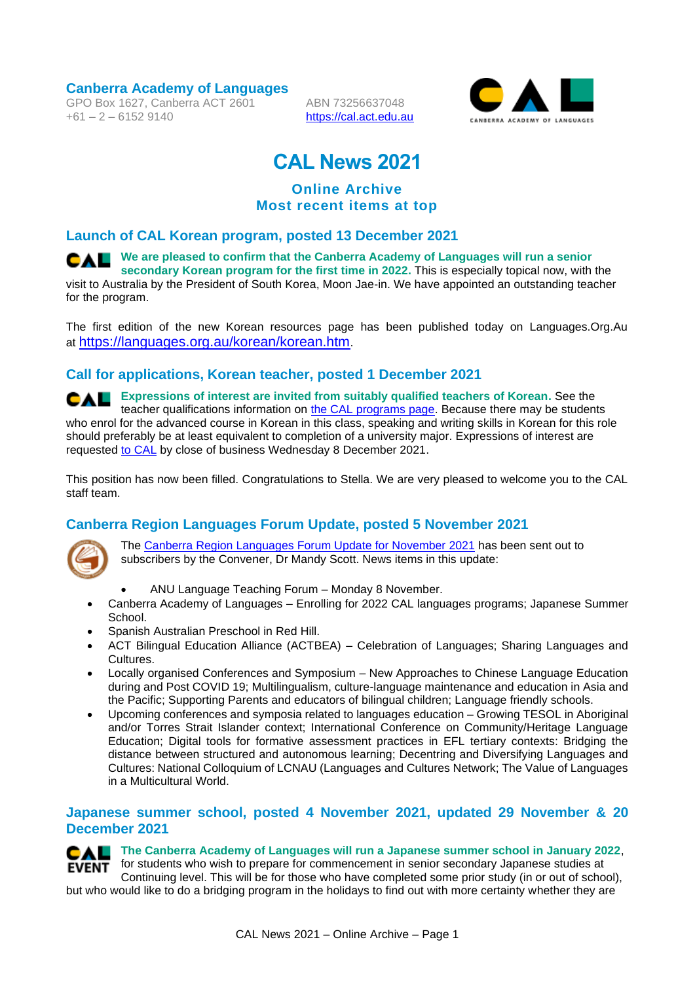**Canberra Academy of Languages**

GPO Box 1627, Canberra ACT 2601  $+61 - 2 - 61529140$ 

ABN 73256637048 [https://cal.act.edu.au](https://cal.act.edu.au/)



# **CAL News 2021**

# **Online Archive Most recent items at top**

## **Launch of CAL Korean program, posted 13 December 2021**

**CAL** We are pleased to confirm that the Canberra Academy of Languages will run a senior **secondary Korean program for the first time in 2022.** This is especially topical now, with the visit to Australia by the President of South Korea, Moon Jae-in. We have appointed an outstanding teacher for the program.

The first edition of the new Korean resources page has been published today on Languages.Org.Au at <https://languages.org.au/korean/korean.htm>.

# **Call for applications, Korean teacher, posted 1 December 2021**

**Expressions of interest are invited from suitably qualified teachers of Korean.** See the CAL. teacher qualifications information on [the CAL programs page.](https://cal.act.edu.au/programs.htm) Because there may be students who enrol for the advanced course in Korean in this class, speaking and writing skills in Korean for this role should preferably be at least equivalent to completion of a university major. Expressions of interest are requested [to CAL](mailto:info@cal.act.edu.au) by close of business Wednesday 8 December 2021.

This position has now been filled. Congratulations to Stella. We are very pleased to welcome you to the CAL staff team.

# **Canberra Region Languages Forum Update, posted 5 November 2021**



The [Canberra Region Languages Forum Update for November 2021](https://actbilingual.weebly.com/uploads/4/4/9/1/4491774/languages_forum_update_november_2021.pdf) has been sent out to subscribers by the Convener, Dr Mandy Scott. News items in this update:

- ANU Language Teaching Forum Monday 8 November.
- Canberra Academy of Languages Enrolling for 2022 CAL languages programs; Japanese Summer School.
- Spanish Australian Preschool in Red Hill.
- ACT Bilingual Education Alliance (ACTBEA) Celebration of Languages; Sharing Languages and Cultures.
- Locally organised Conferences and Symposium New Approaches to Chinese Language Education during and Post COVID 19; Multilingualism, culture-language maintenance and education in Asia and the Pacific; Supporting Parents and educators of bilingual children; Language friendly schools.
- Upcoming conferences and symposia related to languages education Growing TESOL in Aboriginal and/or Torres Strait Islander context; International Conference on Community/Heritage Language Education; Digital tools for formative assessment practices in EFL tertiary contexts: Bridging the distance between structured and autonomous learning; Decentring and Diversifying Languages and Cultures: National Colloquium of LCNAU (Languages and Cultures Network; The Value of Languages in a Multicultural World.

### **Japanese summer school, posted 4 November 2021, updated 29 November & 20 December 2021**

# **CAL** The Canberra Academy of Languages will run a Japanese summer school in January 2022.

for students who wish to prepare for commencement in senior secondary Japanese studies at **EVENT** Continuing level. This will be for those who have completed some prior study (in or out of school), but who would like to do a bridging program in the holidays to find out with more certainty whether they are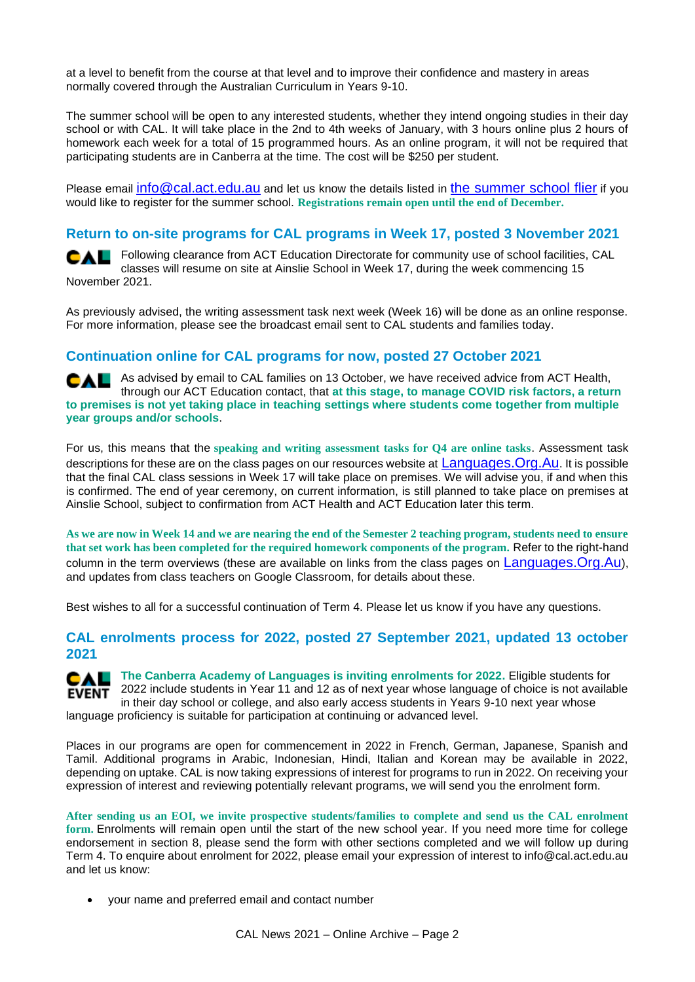at a level to benefit from the course at that level and to improve their confidence and mastery in areas normally covered through the Australian Curriculum in Years 9-10.

The summer school will be open to any interested students, whether they intend ongoing studies in their day school or with CAL. It will take place in the 2nd to 4th weeks of January, with 3 hours online plus 2 hours of homework each week for a total of 15 programmed hours. As an online program, it will not be required that participating students are in Canberra at the time. The cost will be \$250 per student.

Please email [info@cal.act.edu.au](mailto:info@cal.act.edu.au) and let us know the details listed in [the summer school flier](https://cal.act.edu.au/docs/CAL_Japanese_Summer_School_2022_Overview.pdf) if you would like to register for the summer school. **Registrations remain open until the end of December.**

## **Return to on-site programs for CAL programs in Week 17, posted 3 November 2021**

Following clearance from ACT Education Directorate for community use of school facilities, CAL classes will resume on site at Ainslie School in Week 17, during the week commencing 15 November 2021.

As previously advised, the writing assessment task next week (Week 16) will be done as an online response. For more information, please see the broadcast email sent to CAL students and families today.

### **Continuation online for CAL programs for now, posted 27 October 2021**

CAL As advised by email to CAL families on 13 October, we have received advice from ACT Health, through our ACT Education contact, that **at this stage, to manage COVID risk factors, a return to premises is not yet taking place in teaching settings where students come together from multiple year groups and/or schools**.

For us, this means that the **speaking and writing assessment tasks for Q4 are online tasks**. Assessment task descriptions for these are on the class pages on our resources website at Languages. Org. Au. It is possible that the final CAL class sessions in Week 17 will take place on premises. We will advise you, if and when this is confirmed. The end of year ceremony, on current information, is still planned to take place on premises at Ainslie School, subject to confirmation from ACT Health and ACT Education later this term.

**As we are now in Week 14 and we are nearing the end of the Semester 2 teaching program, students need to ensure that set work has been completed for the required homework components of the program.** Refer to the right-hand column in the term overviews (these are available on links from the class pages on [Languages.Org.Au](https://languages.org.au/)), and updates from class teachers on Google Classroom, for details about these.

Best wishes to all for a successful continuation of Term 4. Please let us know if you have any questions.

### **CAL enrolments process for 2022, posted 27 September 2021, updated 13 october 2021**

**CAL** The Canberra Academy of Languages is inviting enrolments for 2022. Eligible students for **EVENT** 2022 include students in Year 11 and 12 as of next year whose language of choice is not available in their day school or college, and also early access students in Years 9-10 next year whose language proficiency is suitable for participation at continuing or advanced level.

Places in our programs are open for commencement in 2022 in French, German, Japanese, Spanish and Tamil. Additional programs in Arabic, Indonesian, Hindi, Italian and Korean may be available in 2022, depending on uptake. CAL is now taking expressions of interest for programs to run in 2022. On receiving your expression of interest and reviewing potentially relevant programs, we will send you the enrolment form.

**After sending us an EOI, we invite prospective students/families to complete and send us the CAL enrolment form.** Enrolments will remain open until the start of the new school year. If you need more time for college endorsement in section 8, please send the form with other sections completed and we will follow up during Term 4. To enquire about enrolment for 2022, please email your expression of interest to info@cal.act.edu.au and let us know:

• your name and preferred email and contact number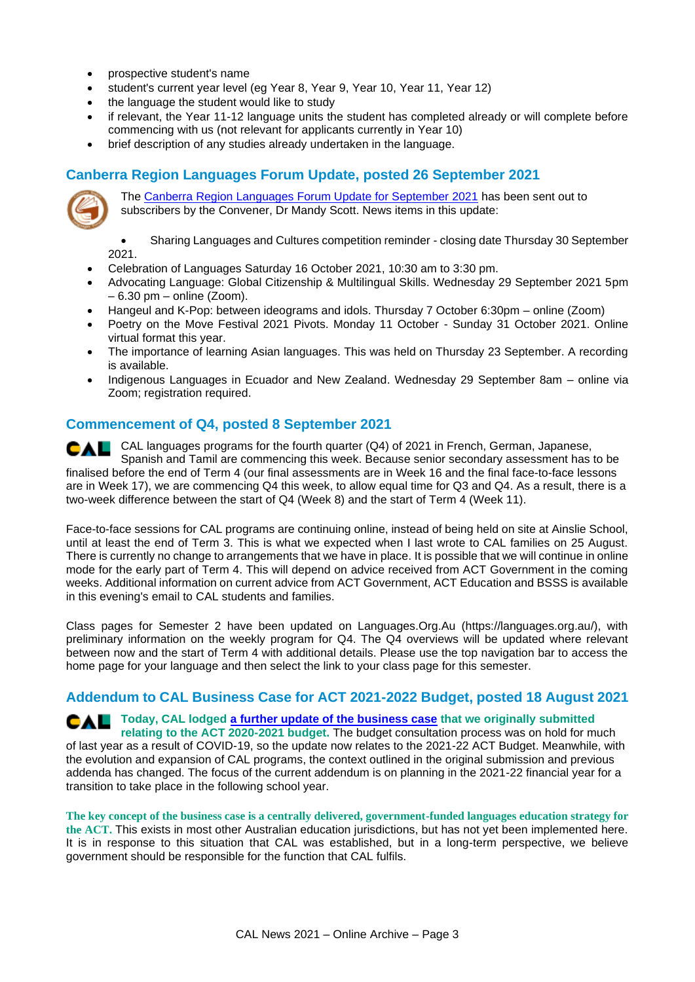- prospective student's name
- student's current year level (eg Year 8, Year 9, Year 10, Year 11, Year 12)
- the language the student would like to study
- if relevant, the Year 11-12 language units the student has completed already or will complete before commencing with us (not relevant for applicants currently in Year 10)
- brief description of any studies already undertaken in the language.

# **Canberra Region Languages Forum Update, posted 26 September 2021**



The [Canberra Region Languages Forum Update for September 2021](https://actbilingual.weebly.com/uploads/4/4/9/1/4491774/languages_forum_update_september_2021final.pdf) has been sent out to subscribers by the Convener, Dr Mandy Scott. News items in this update:

• Sharing Languages and Cultures competition reminder - closing date Thursday 30 September 2021.

- Celebration of Languages Saturday 16 October 2021, 10:30 am to 3:30 pm.
- Advocating Language: Global Citizenship & Multilingual Skills. Wednesday 29 September 2021 5pm  $-6.30$  pm  $-$  online (Zoom).
- Hangeul and K-Pop: between ideograms and idols. Thursday 7 October 6:30pm online (Zoom)
- Poetry on the Move Festival 2021 Pivots. Monday 11 October Sunday 31 October 2021. Online virtual format this year.
- The importance of learning Asian languages. This was held on Thursday 23 September. A recording is available.
- Indigenous Languages in Ecuador and New Zealand. Wednesday 29 September 8am online via Zoom; registration required.

### **Commencement of Q4, posted 8 September 2021**

CAL languages programs for the fourth quarter (Q4) of 2021 in French, German, Japanese, CAL Spanish and Tamil are commencing this week. Because senior secondary assessment has to be finalised before the end of Term 4 (our final assessments are in Week 16 and the final face-to-face lessons are in Week 17), we are commencing Q4 this week, to allow equal time for Q3 and Q4. As a result, there is a two-week difference between the start of Q4 (Week 8) and the start of Term 4 (Week 11).

Face-to-face sessions for CAL programs are continuing online, instead of being held on site at Ainslie School, until at least the end of Term 3. This is what we expected when I last wrote to CAL families on 25 August. There is currently no change to arrangements that we have in place. It is possible that we will continue in online mode for the early part of Term 4. This will depend on advice received from ACT Government in the coming weeks. Additional information on current advice from ACT Government, ACT Education and BSSS is available in this evening's email to CAL students and families.

Class pages for Semester 2 have been updated on Languages.Org.Au (https://languages.org.au/), with preliminary information on the weekly program for Q4. The Q4 overviews will be updated where relevant between now and the start of Term 4 with additional details. Please use the top navigation bar to access the home page for your language and then select the link to your class page for this semester.

### **Addendum to CAL Business Case for ACT 2021-2022 Budget, posted 18 August 2021**

# **Today, CAL lodged [a further update of the business case](https://cal.act.edu.au/docs/CAL_Business_Case_for_2021-2022_ACT_Budget-Addendum_v5.pdf) that we originally submitted**

**relating to the ACT 2020-2021 budget.** The budget consultation process was on hold for much of last year as a result of COVID-19, so the update now relates to the 2021-22 ACT Budget. Meanwhile, with the evolution and expansion of CAL programs, the context outlined in the original submission and previous addenda has changed. The focus of the current addendum is on planning in the 2021-22 financial year for a transition to take place in the following school year.

**The key concept of the business case is a centrally delivered, government-funded languages education strategy for the ACT.** This exists in most other Australian education jurisdictions, but has not yet been implemented here. It is in response to this situation that CAL was established, but in a long-term perspective, we believe government should be responsible for the function that CAL fulfils.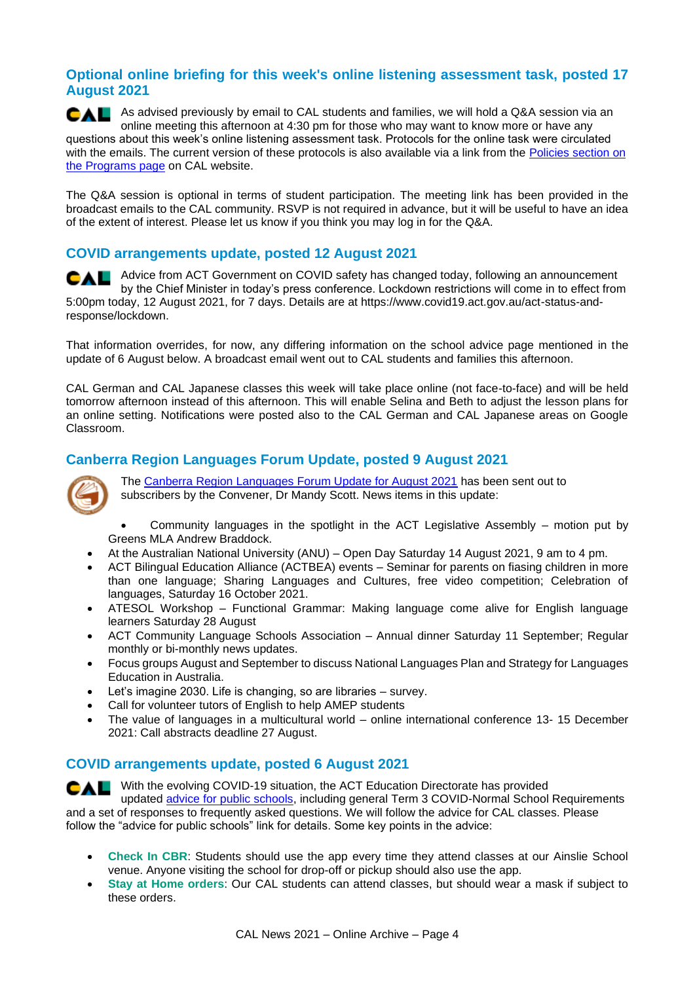# **Optional online briefing for this week's online listening assessment task, posted 17 August 2021**

CAL As advised previously by email to CAL students and families, we will hold a Q&A session via an online meeting this afternoon at 4:30 pm for those who may want to know more or have any questions about this week's online listening assessment task. Protocols for the online task were circulated with the emails. The current version of these protocols is also available via a link from the Policies section on [the Programs page](https://cal.act.edu.au/programs.htm#policies) on CAL website.

The Q&A session is optional in terms of student participation. The meeting link has been provided in the broadcast emails to the CAL community. RSVP is not required in advance, but it will be useful to have an idea of the extent of interest. Please let us know if you think you may log in for the Q&A.

# **COVID arrangements update, posted 12 August 2021**

Advice from ACT Government on COVID safety has changed today, following an announcement by the Chief Minister in today's press conference. Lockdown restrictions will come in to effect from 5:00pm today, 12 August 2021, for 7 days. Details are at https://www.covid19.act.gov.au/act-status-andresponse/lockdown.

That information overrides, for now, any differing information on the school advice page mentioned in the update of 6 August below. A broadcast email went out to CAL students and families this afternoon.

CAL German and CAL Japanese classes this week will take place online (not face-to-face) and will be held tomorrow afternoon instead of this afternoon. This will enable Selina and Beth to adjust the lesson plans for an online setting. Notifications were posted also to the CAL German and CAL Japanese areas on Google Classroom.

# **Canberra Region Languages Forum Update, posted 9 August 2021**



The [Canberra Region Languages Forum Update for August 2021](https://actbilingual.weebly.com/uploads/4/4/9/1/4491774/languages_forum_update_september_2021final.pdf) has been sent out to subscribers by the Convener, Dr Mandy Scott. News items in this update:

• Community languages in the spotlight in the ACT Legislative Assembly – motion put by Greens MLA Andrew Braddock.

- At the Australian National University (ANU) Open Day Saturday 14 August 2021, 9 am to 4 pm.
- ACT Bilingual Education Alliance (ACTBEA) events Seminar for parents on fiasing children in more than one language; Sharing Languages and Cultures, free video competition; Celebration of languages, Saturday 16 October 2021.
- ATESOL Workshop Functional Grammar: Making language come alive for English language learners Saturday 28 August
- ACT Community Language Schools Association Annual dinner Saturday 11 September; Regular monthly or bi-monthly news updates.
- Focus groups August and September to discuss National Languages Plan and Strategy for Languages Education in Australia.
- Let's imagine 2030. Life is changing, so are libraries survey.
- Call for volunteer tutors of English to help AMEP students
- The value of languages in a multicultural world online international conference 13- 15 December 2021: Call abstracts deadline 27 August.

### **COVID arrangements update, posted 6 August 2021**

**CAL** With the evolving COVID-19 situation, the ACT Education Directorate has provided updated [advice for public schools,](https://www.education.act.gov.au/public-school-life/covid-school-arrangements/school-advice) including general Term 3 COVID-Normal School Requirements and a set of responses to frequently asked questions. We will follow the advice for CAL classes. Please follow the "advice for public schools" link for details. Some key points in the advice:

- **Check In CBR**: Students should use the app every time they attend classes at our Ainslie School venue. Anyone visiting the school for drop-off or pickup should also use the app.
- **Stay at Home orders**: Our CAL students can attend classes, but should wear a mask if subject to these orders.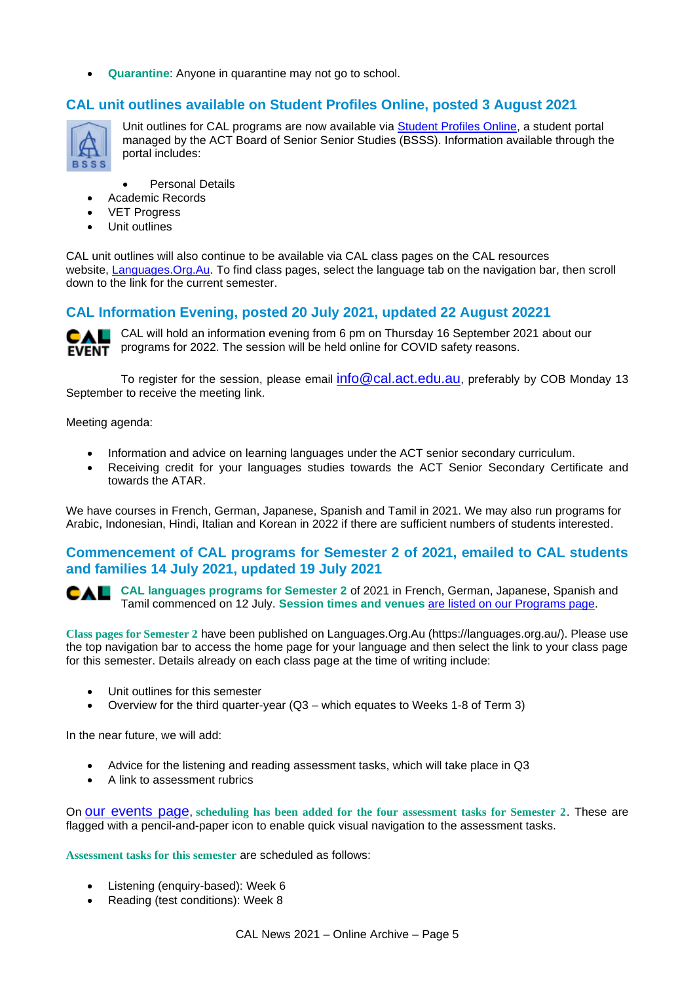• **Quarantine**: Anyone in quarantine may not go to school.

### **CAL unit outlines available on Student Profiles Online, posted 3 August 2021**



Unit outlines for CAL programs are now available via [Student Profiles Online,](https://student-profiles.ed.act.edu.au/) a student portal managed by the ACT Board of Senior Senior Studies (BSSS). Information available through the portal includes:

Personal Details

- Academic Records
- VET Progress
- Unit outlines

CAL unit outlines will also continue to be available via CAL class pages on the CAL resources website, [Languages.Org.Au.](https://languages.org.au/) To find class pages, select the language tab on the navigation bar, then scroll down to the link for the current semester.

### **CAL Information Evening, posted 20 July 2021, updated 22 August 20221**



CAL CAL will hold an information evening from 6 pm on Thursday 16 September 2021 about our **EVENT** programs for 2022. The session will be held online for COVID safety reasons.

To register for the session, please email  $info@cal$ .act.edu.au, preferably by COB Monday 13 September to receive the meeting link.

Meeting agenda:

- Information and advice on learning languages under the ACT senior secondary curriculum.
- Receiving credit for your languages studies towards the ACT Senior Secondary Certificate and towards the ATAR.

We have courses in French, German, Japanese, Spanish and Tamil in 2021. We may also run programs for Arabic, Indonesian, Hindi, Italian and Korean in 2022 if there are sufficient numbers of students interested.

### **Commencement of CAL programs for Semester 2 of 2021, emailed to CAL students and families 14 July 2021, updated 19 July 2021**

**CAL languages programs for Semester 2** of 2021 in French, German, Japanese, Spanish and CAL Tamil commenced on 12 July. **Session times and venues** [are listed on our Programs page.](https://cal.act.edu.au/programs.htm#times-and-venues)

**Class pages for Semester 2** have been published on Languages.Org.Au (https://languages.org.au/). Please use the top navigation bar to access the home page for your language and then select the link to your class page for this semester. Details already on each class page at the time of writing include:

- Unit outlines for this semester
- Overview for the third quarter-year (Q3 which equates to Weeks 1-8 of Term 3)

In the near future, we will add:

- Advice for the listening and reading assessment tasks, which will take place in Q3
- A link to assessment rubrics

On [our events page](https://cal.act.edu.au/events.htm), **scheduling has been added for the four assessment tasks for Semester 2**. These are flagged with a pencil-and-paper icon to enable quick visual navigation to the assessment tasks.

**Assessment tasks for this semester** are scheduled as follows:

- Listening (enquiry-based): Week 6
- Reading (test conditions): Week 8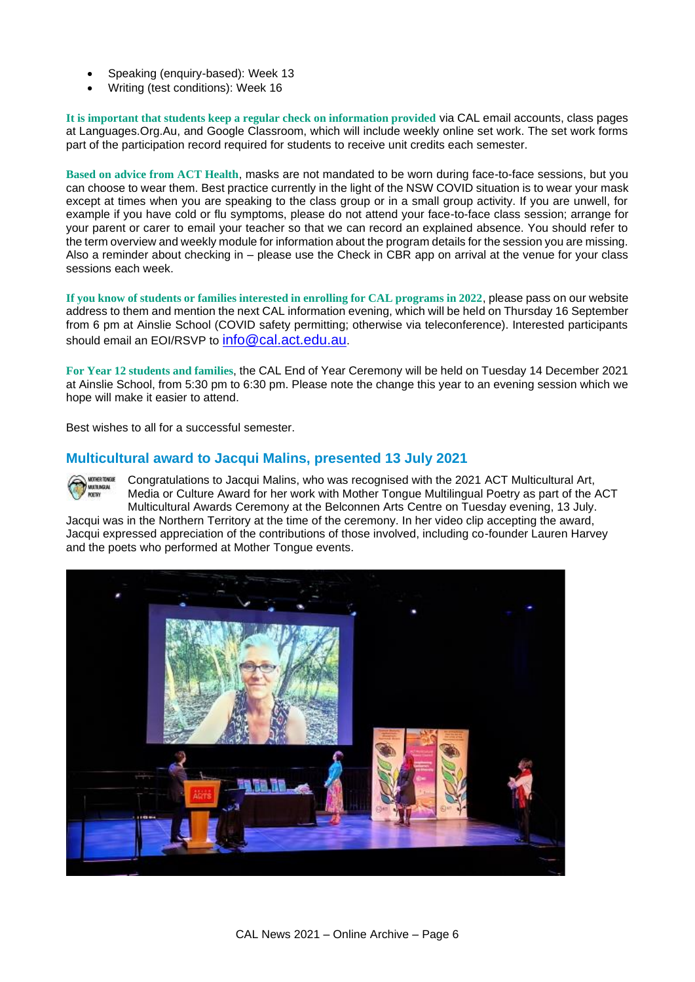- Speaking (enquiry-based): Week 13
- Writing (test conditions): Week 16

**It is important that students keep a regular check on information provided** via CAL email accounts, class pages at Languages.Org.Au, and Google Classroom, which will include weekly online set work. The set work forms part of the participation record required for students to receive unit credits each semester.

**Based on advice from ACT Health**, masks are not mandated to be worn during face-to-face sessions, but you can choose to wear them. Best practice currently in the light of the NSW COVID situation is to wear your mask except at times when you are speaking to the class group or in a small group activity. If you are unwell, for example if you have cold or flu symptoms, please do not attend your face-to-face class session; arrange for your parent or carer to email your teacher so that we can record an explained absence. You should refer to the term overview and weekly module for information about the program details for the session you are missing. Also a reminder about checking in – please use the Check in CBR app on arrival at the venue for your class sessions each week.

**If you know of students or families interested in enrolling for CAL programs in 2022**, please pass on our website address to them and mention the next CAL information evening, which will be held on Thursday 16 September from 6 pm at Ainslie School (COVID safety permitting; otherwise via teleconference). Interested participants should email an EOI/RSVP to [info@cal.act.edu.au](mailto:info@cal.act.edu.au).

**For Year 12 students and families**, the CAL End of Year Ceremony will be held on Tuesday 14 December 2021 at Ainslie School, from 5:30 pm to 6:30 pm. Please note the change this year to an evening session which we hope will make it easier to attend.

Best wishes to all for a successful semester.

### **Multicultural award to Jacqui Malins, presented 13 July 2021**

Congratulations to Jacqui Malins, who was recognised with the 2021 ACT Multicultural Art, MOTHER TONGUE **WATENGEAL**<br>POETRY Media or Culture Award for her work with Mother Tongue Multilingual Poetry as part of the ACT Multicultural Awards Ceremony at the Belconnen Arts Centre on Tuesday evening, 13 July.

Jacqui was in the Northern Territory at the time of the ceremony. In her video clip accepting the award, Jacqui expressed appreciation of the contributions of those involved, including co-founder Lauren Harvey and the poets who performed at Mother Tongue events.

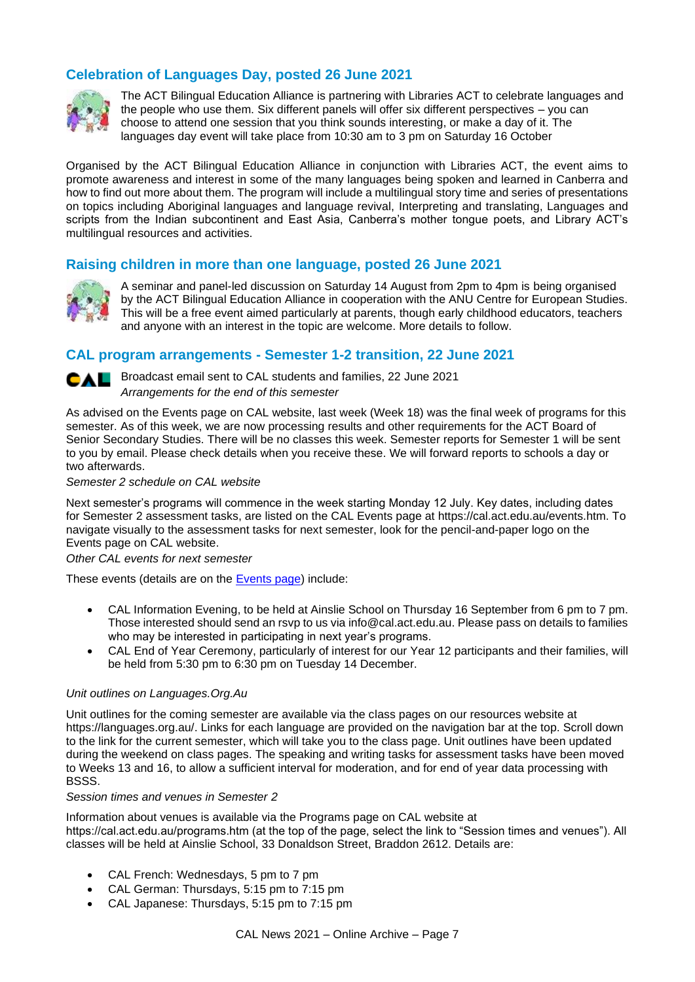# **Celebration of Languages Day, posted 26 June 2021**



The ACT Bilingual Education Alliance is partnering with Libraries ACT to celebrate languages and the people who use them. Six different panels will offer six different perspectives – you can choose to attend one session that you think sounds interesting, or make a day of it. The languages day event will take place from 10:30 am to 3 pm on Saturday 16 October

Organised by the ACT Bilingual Education Alliance in conjunction with Libraries ACT, the event aims to promote awareness and interest in some of the many languages being spoken and learned in Canberra and how to find out more about them. The program will include a multilingual story time and series of presentations on topics including Aboriginal languages and language revival, Interpreting and translating, Languages and scripts from the Indian subcontinent and East Asia, Canberra's mother tongue poets, and Library ACT's multilingual resources and activities.

### **Raising children in more than one language, posted 26 June 2021**



A seminar and panel-led discussion on Saturday 14 August from 2pm to 4pm is being organised by the ACT Bilingual Education Alliance in cooperation with the ANU Centre for European Studies. This will be a free event aimed particularly at parents, though early childhood educators, teachers and anyone with an interest in the topic are welcome. More details to follow.

### **CAL program arrangements - Semester 1-2 transition, 22 June 2021**



**CAL** Broadcast email sent to CAL students and families, 22 June 2021 *Arrangements for the end of this semester*

As advised on the Events page on CAL website, last week (Week 18) was the final week of programs for this semester. As of this week, we are now processing results and other requirements for the ACT Board of Senior Secondary Studies. There will be no classes this week. Semester reports for Semester 1 will be sent to you by email. Please check details when you receive these. We will forward reports to schools a day or two afterwards.

*Semester 2 schedule on CAL website*

Next semester's programs will commence in the week starting Monday 12 July. Key dates, including dates for Semester 2 assessment tasks, are listed on the CAL Events page at https://cal.act.edu.au/events.htm. To navigate visually to the assessment tasks for next semester, look for the pencil-and-paper logo on the Events page on CAL website.

*Other CAL events for next semester*

These events (details are on the [Events page\)](https://cal.act.edu.au/events.htm) include:

- CAL Information Evening, to be held at Ainslie School on Thursday 16 September from 6 pm to 7 pm. Those interested should send an rsvp to us via info@cal.act.edu.au. Please pass on details to families who may be interested in participating in next year's programs.
- CAL End of Year Ceremony, particularly of interest for our Year 12 participants and their families, will be held from 5:30 pm to 6:30 pm on Tuesday 14 December.

#### *Unit outlines on Languages.Org.Au*

Unit outlines for the coming semester are available via the class pages on our resources website at https://languages.org.au/. Links for each language are provided on the navigation bar at the top. Scroll down to the link for the current semester, which will take you to the class page. Unit outlines have been updated during the weekend on class pages. The speaking and writing tasks for assessment tasks have been moved to Weeks 13 and 16, to allow a sufficient interval for moderation, and for end of year data processing with BSSS.

#### *Session times and venues in Semester 2*

Information about venues is available via the Programs page on CAL website at https://cal.act.edu.au/programs.htm (at the top of the page, select the link to "Session times and venues"). All classes will be held at Ainslie School, 33 Donaldson Street, Braddon 2612. Details are:

- CAL French: Wednesdays, 5 pm to 7 pm
- CAL German: Thursdays, 5:15 pm to 7:15 pm
- CAL Japanese: Thursdays, 5:15 pm to 7:15 pm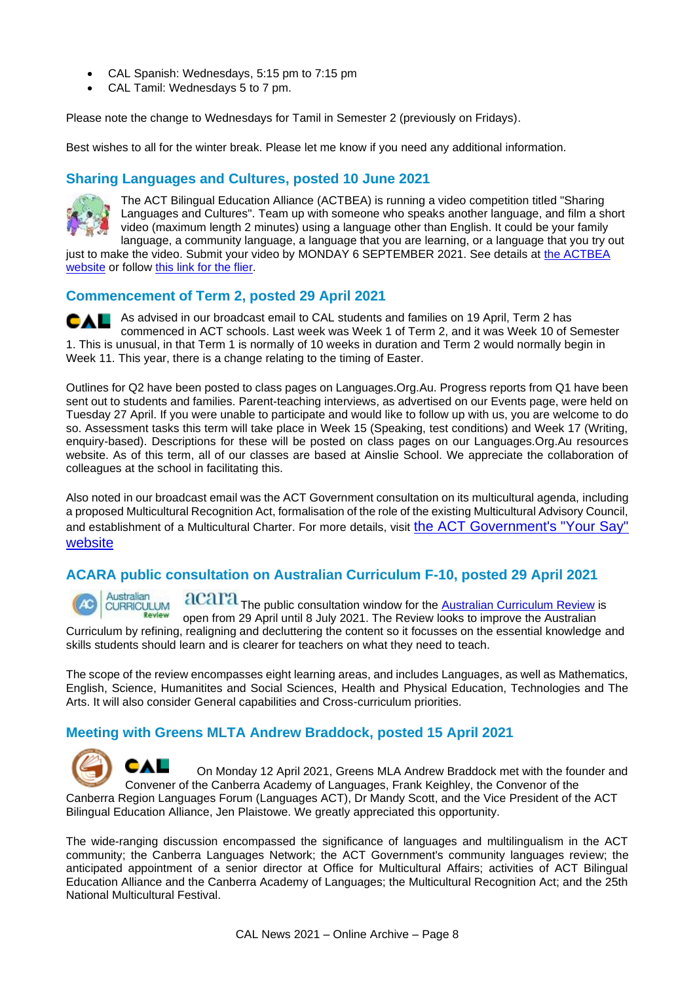- CAL Spanish: Wednesdays, 5:15 pm to 7:15 pm
- CAL Tamil: Wednesdays 5 to 7 pm.

Please note the change to Wednesdays for Tamil in Semester 2 (previously on Fridays).

Best wishes to all for the winter break. Please let me know if you need any additional information.

## **Sharing Languages and Cultures, posted 10 June 2021**



The ACT Bilingual Education Alliance (ACTBEA) is running a video competition titled "Sharing Languages and Cultures". Team up with someone who speaks another language, and film a short video (maximum length 2 minutes) using a language other than English. It could be your family language, a community language, a language that you are learning, or a language that you try out

just to make the video. Submit your video by MONDAY 6 SEPTEMBER 2021. See details at [the ACTBEA](https://actbilingual.weebly.com/news.html)  [website](https://actbilingual.weebly.com/news.html) or follow [this link for the flier.](https://cal.act.edu.au/docs/ACTBEA_sharing_languages_competition_2021.pdf)

### **Commencement of Term 2, posted 29 April 2021**

As advised in our broadcast email to CAL students and families on 19 April, Term 2 has CAL commenced in ACT schools. Last week was Week 1 of Term 2, and it was Week 10 of Semester 1. This is unusual, in that Term 1 is normally of 10 weeks in duration and Term 2 would normally begin in Week 11. This year, there is a change relating to the timing of Easter.

Outlines for Q2 have been posted to class pages on Languages.Org.Au. Progress reports from Q1 have been sent out to students and families. Parent-teaching interviews, as advertised on our Events page, were held on Tuesday 27 April. If you were unable to participate and would like to follow up with us, you are welcome to do so. Assessment tasks this term will take place in Week 15 (Speaking, test conditions) and Week 17 (Writing, enquiry-based). Descriptions for these will be posted on class pages on our Languages.Org.Au resources website. As of this term, all of our classes are based at Ainslie School. We appreciate the collaboration of colleagues at the school in facilitating this.

Also noted in our broadcast email was the ACT Government consultation on its multicultural agenda, including a proposed Multicultural Recognition Act, formalisation of the role of the existing Multicultural Advisory Council, and establishment of a Multicultural Charter. For more details, visit [the ACT Government's "Your Say"](https://www.yoursay.act.gov.au/multicultural-recognition-act)  [website](https://www.yoursay.act.gov.au/multicultural-recognition-act)

# **ACARA public consultation on Australian Curriculum F-10, posted 29 April 2021**

Australian acara The public consultation window for the **[Australian Curriculum Review](https://www.australiancurriculum.edu.au/consultation/)** is CURRICULUM open from 29 April until 8 July 2021. The Review looks to improve the Australian Curriculum by refining, realigning and decluttering the content so it focusses on the essential knowledge and skills students should learn and is clearer for teachers on what they need to teach.

The scope of the review encompasses eight learning areas, and includes Languages, as well as Mathematics, English, Science, Humanitites and Social Sciences, Health and Physical Education, Technologies and The Arts. It will also consider General capabilities and Cross-curriculum priorities.

# **Meeting with Greens MLTA Andrew Braddock, posted 15 April 2021**

CAL On Monday 12 April 2021, Greens MLA Andrew Braddock met with the founder and Convener of the Canberra Academy of Languages, Frank Keighley, the Convenor of the Canberra Region Languages Forum (Languages ACT), Dr Mandy Scott, and the Vice President of the ACT Bilingual Education Alliance, Jen Plaistowe. We greatly appreciated this opportunity.

The wide-ranging discussion encompassed the significance of languages and multilingualism in the ACT community; the Canberra Languages Network; the ACT Government's community languages review; the anticipated appointment of a senior director at Office for Multicultural Affairs; activities of ACT Bilingual Education Alliance and the Canberra Academy of Languages; the Multicultural Recognition Act; and the 25th National Multicultural Festival.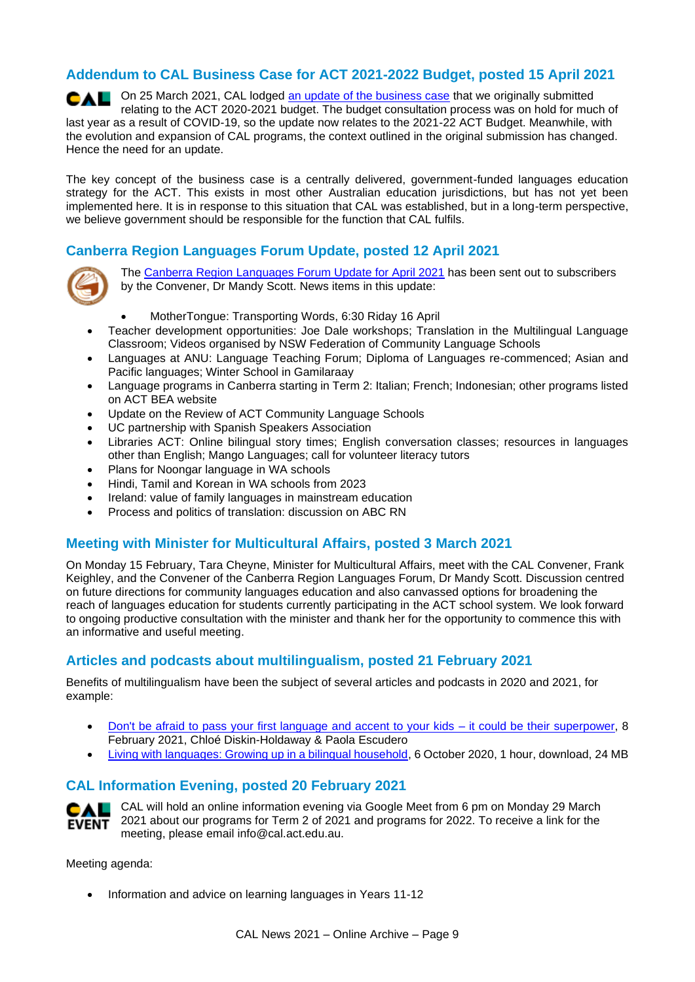# **Addendum to CAL Business Case for ACT 2021-2022 Budget, posted 15 April 2021**

On 25 March 2021, CAL lodged [an update of the business case](https://cal.act.edu.au/docs/CAL_Business_Case_for_2021-2022_ACT_Budget-Addendum_v3.pdf) that we originally submitted CAL relating to the ACT 2020-2021 budget. The budget consultation process was on hold for much of last year as a result of COVID-19, so the update now relates to the 2021-22 ACT Budget. Meanwhile, with the evolution and expansion of CAL programs, the context outlined in the original submission has changed. Hence the need for an update.

The key concept of the business case is a centrally delivered, government-funded languages education strategy for the ACT. This exists in most other Australian education jurisdictions, but has not yet been implemented here. It is in response to this situation that CAL was established, but in a long-term perspective, we believe government should be responsible for the function that CAL fulfils.

# **Canberra Region Languages Forum Update, posted 12 April 2021**



The [Canberra Region Languages Forum Update for April 2021](https://cal.act.edu.au/docs/Languages_Forum_Update_April_2021.pdf) has been sent out to subscribers by the Convener, Dr Mandy Scott. News items in this update:

- MotherTongue: Transporting Words, 6:30 Riday 16 April
- Teacher development opportunities: Joe Dale workshops; Translation in the Multilingual Language Classroom; Videos organised by NSW Federation of Community Language Schools
- Languages at ANU: Language Teaching Forum; Diploma of Languages re-commenced; Asian and Pacific languages; Winter School in Gamilaraay
- Language programs in Canberra starting in Term 2: Italian; French; Indonesian; other programs listed on ACT BEA website
- Update on the Review of ACT Community Language Schools
- UC partnership with Spanish Speakers Association
- Libraries ACT: Online bilingual story times; English conversation classes; resources in languages other than English; Mango Languages; call for volunteer literacy tutors
- Plans for Noongar language in WA schools
- Hindi, Tamil and Korean in WA schools from 2023
- Ireland: value of family languages in mainstream education
- Process and politics of translation: discussion on ABC RN

### **Meeting with Minister for Multicultural Affairs, posted 3 March 2021**

On Monday 15 February, Tara Cheyne, Minister for Multicultural Affairs, meet with the CAL Convener, Frank Keighley, and the Convener of the Canberra Region Languages Forum, Dr Mandy Scott. Discussion centred on future directions for community languages education and also canvassed options for broadening the reach of languages education for students currently participating in the ACT school system. We look forward to ongoing productive consultation with the minister and thank her for the opportunity to commence this with an informative and useful meeting.

### **Articles and podcasts about multilingualism, posted 21 February 2021**

Benefits of multilingualism have been the subject of several articles and podcasts in 2020 and 2021, for example:

- [Don't be afraid to pass your first language and accent to your kids –](https://theconversation.com/dont-be-afraid-to-pass-your-first-language-and-accent-to-your-kids-it-could-be-their-superpower-143093) it could be their superpower, 8 February 2021, Chloé Diskin-Holdaway & Paola Escudero
- [Living with languages: Growing up in a bilingual household,](https://www.abc.net.au/radio/melbourne/programs/theconversationhour/the-conversation-hour/12715576) 6 October 2020, 1 hour, download, 24 MB

### **CAL Information Evening, posted 20 February 2021**



CAL will hold an online information evening via Google Meet from 6 pm on Monday 29 March 2021 about our programs for Term 2 of 2021 and programs for 2022. To receive a link for the meeting, please email info@cal.act.edu.au.

Meeting agenda:

• Information and advice on learning languages in Years 11-12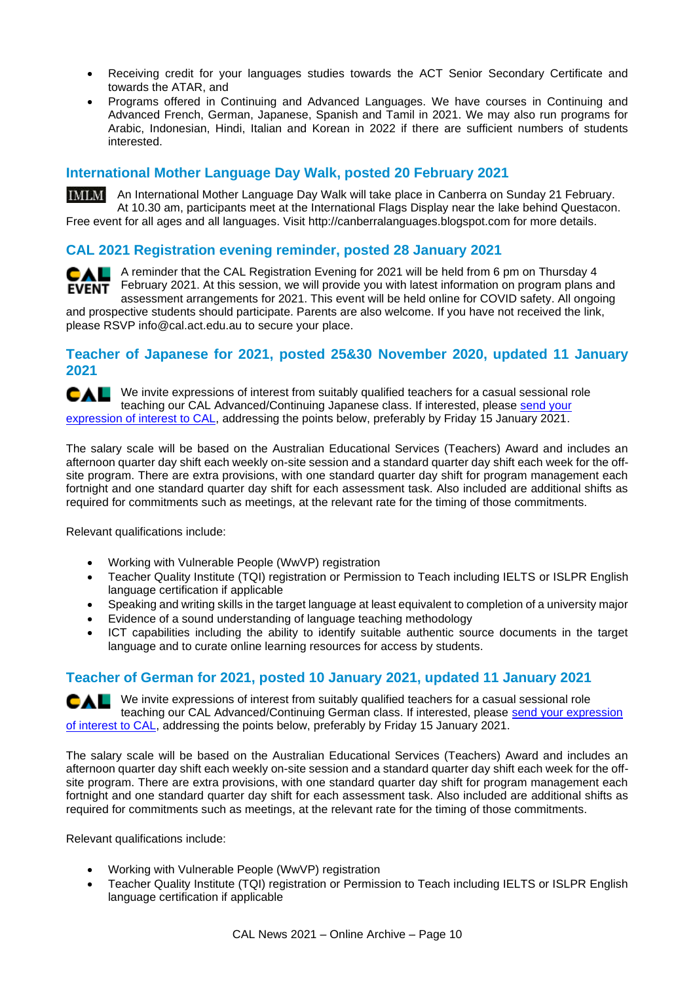- Receiving credit for your languages studies towards the ACT Senior Secondary Certificate and towards the ATAR, and
- Programs offered in Continuing and Advanced Languages. We have courses in Continuing and Advanced French, German, Japanese, Spanish and Tamil in 2021. We may also run programs for Arabic, Indonesian, Hindi, Italian and Korean in 2022 if there are sufficient numbers of students interested.

# **International Mother Language Day Walk, posted 20 February 2021**

**IMIAN** An International Mother Language Day Walk will take place in Canberra on Sunday 21 February. At 10.30 am, participants meet at the International Flags Display near the lake behind Questacon. Free event for all ages and all languages. Visit http://canberralanguages.blogspot.com for more details.

# **CAL 2021 Registration evening reminder, posted 28 January 2021**

**CAL** A reminder that the CAL Registration Evening for 2021 will be held from 6 pm on Thursday 4 **EVENT** February 2021. At this session, we will provide you with latest information on program plans and assessment arrangements for 2021. This event will be held online for COVID safety. All ongoing and prospective students should participate. Parents are also welcome. If you have not received the link, please RSVP info@cal.act.edu.au to secure your place.

#### **Teacher of Japanese for 2021, posted 25&30 November 2020, updated 11 January 2021**

We invite expressions of interest from suitably qualified teachers for a casual sessional role CAL teaching our CAL Advanced/Continuing Japanese class. If interested, please [send your](mailto:info@cal.act.edu.au)  [expression of interest to CAL,](mailto:info@cal.act.edu.au) addressing the points below, preferably by Friday 15 January 2021.

The salary scale will be based on the Australian Educational Services (Teachers) Award and includes an afternoon quarter day shift each weekly on-site session and a standard quarter day shift each week for the offsite program. There are extra provisions, with one standard quarter day shift for program management each fortnight and one standard quarter day shift for each assessment task. Also included are additional shifts as required for commitments such as meetings, at the relevant rate for the timing of those commitments.

Relevant qualifications include:

- Working with Vulnerable People (WwVP) registration
- Teacher Quality Institute (TQI) registration or Permission to Teach including IELTS or ISLPR English language certification if applicable
- Speaking and writing skills in the target language at least equivalent to completion of a university major
- Evidence of a sound understanding of language teaching methodology
- ICT capabilities including the ability to identify suitable authentic source documents in the target language and to curate online learning resources for access by students.

# **Teacher of German for 2021, posted 10 January 2021, updated 11 January 2021**

We invite expressions of interest from suitably qualified teachers for a casual sessional role CAL teaching our CAL Advanced/Continuing German class. If interested, please [send your expression](mailto:info@cal.act.edu.au)  [of interest to CAL,](mailto:info@cal.act.edu.au) addressing the points below, preferably by Friday 15 January 2021.

The salary scale will be based on the Australian Educational Services (Teachers) Award and includes an afternoon quarter day shift each weekly on-site session and a standard quarter day shift each week for the offsite program. There are extra provisions, with one standard quarter day shift for program management each fortnight and one standard quarter day shift for each assessment task. Also included are additional shifts as required for commitments such as meetings, at the relevant rate for the timing of those commitments.

Relevant qualifications include:

- Working with Vulnerable People (WwVP) registration
- Teacher Quality Institute (TQI) registration or Permission to Teach including IELTS or ISLPR English language certification if applicable